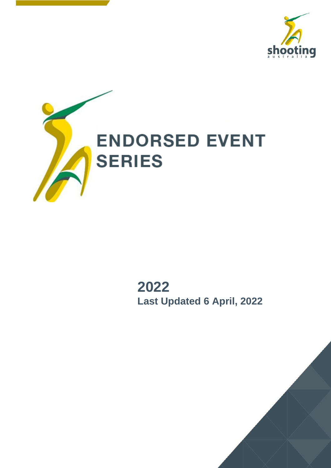



**2022 Last Updated 6 April, 2022**

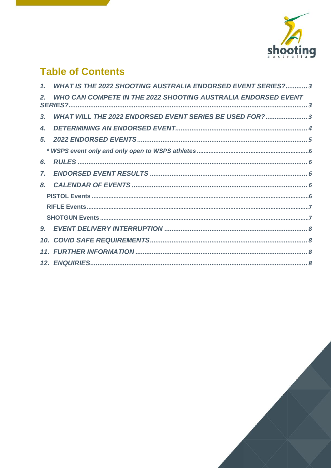

## **Table of Contents**

|                | 1. WHAT IS THE 2022 SHOOTING AUSTRALIA ENDORSED EVENT SERIES? 3 |
|----------------|-----------------------------------------------------------------|
| 2.             | WHO CAN COMPETE IN THE 2022 SHOOTING AUSTRALIA ENDORSED EVENT   |
| 3 <sub>r</sub> | WHAT WILL THE 2022 ENDORSED EVENT SERIES BE USED FOR? 3         |
| 4.             |                                                                 |
|                |                                                                 |
|                |                                                                 |
| 6.             |                                                                 |
| $\mathbf{Z}$   |                                                                 |
| 8.             |                                                                 |
|                |                                                                 |
|                |                                                                 |
|                |                                                                 |
|                |                                                                 |
|                |                                                                 |
|                |                                                                 |
|                |                                                                 |

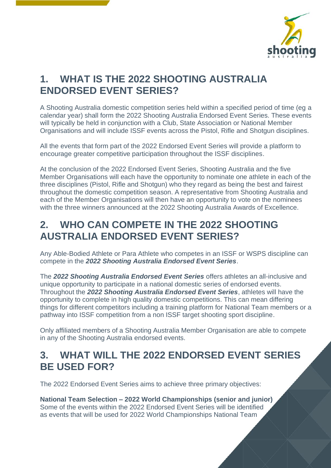

### <span id="page-2-0"></span>**1. WHAT IS THE 2022 SHOOTING AUSTRALIA ENDORSED EVENT SERIES?**

A Shooting Australia domestic competition series held within a specified period of time (eg a calendar year) shall form the 2022 Shooting Australia Endorsed Event Series. These events will typically be held in conjunction with a Club, State Association or National Member Organisations and will include ISSF events across the Pistol, Rifle and Shotgun disciplines.

All the events that form part of the 2022 Endorsed Event Series will provide a platform to encourage greater competitive participation throughout the ISSF disciplines.

At the conclusion of the 2022 Endorsed Event Series, Shooting Australia and the five Member Organisations will each have the opportunity to nominate one athlete in each of the three disciplines (Pistol, Rifle and Shotgun) who they regard as being the best and fairest throughout the domestic competition season. A representative from Shooting Australia and each of the Member Organisations will then have an opportunity to vote on the nominees with the three winners announced at the 2022 Shooting Australia Awards of Excellence.

### <span id="page-2-1"></span>**2. WHO CAN COMPETE IN THE 2022 SHOOTING AUSTRALIA ENDORSED EVENT SERIES?**

Any Able-Bodied Athlete or Para Athlete who competes in an ISSF or WSPS discipline can compete in the *2022 Shooting Australia Endorsed Event Series*.

The *2022 Shooting Australia Endorsed Event Series* offers athletes an all-inclusive and unique opportunity to participate in a national domestic series of endorsed events. Throughout the *2022 Shooting Australia Endorsed Event Series*, athletes will have the opportunity to complete in high quality domestic competitions. This can mean differing things for different competitors including a training platform for National Team members or a pathway into ISSF competition from a non ISSF target shooting sport discipline.

Only affiliated members of a Shooting Australia Member Organisation are able to compete in any of the Shooting Australia endorsed events.

### <span id="page-2-2"></span>**3. WHAT WILL THE 2022 ENDORSED EVENT SERIES BE USED FOR?**

The 2022 Endorsed Event Series aims to achieve three primary objectives:

**National Team Selection – 2022 World Championships (senior and junior)** Some of the events within the 2022 Endorsed Event Series will be identified as events that will be used for 2022 World Championships National Team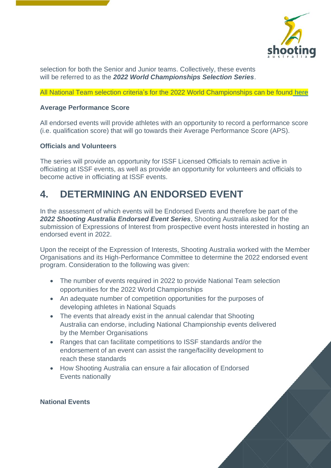

selection for both the Senior and Junior teams. Collectively, these events will be referred to as the *2022 World Championships Selection Series*.

All National Team selection criteria's for the 2022 World Championships can be found [here](https://shootingaustralia.org/2022-selection-criteria/)

#### **Average Performance Score**

All endorsed events will provide athletes with an opportunity to record a performance score (i.e. qualification score) that will go towards their Average Performance Score (APS).

#### **Officials and Volunteers**

The series will provide an opportunity for ISSF Licensed Officials to remain active in officiating at ISSF events, as well as provide an opportunity for volunteers and officials to become active in officiating at ISSF events.

### <span id="page-3-0"></span>**4. DETERMINING AN ENDORSED EVENT**

In the assessment of which events will be Endorsed Events and therefore be part of the *2022 Shooting Australia Endorsed Event Series*, Shooting Australia asked for the submission of Expressions of Interest from prospective event hosts interested in hosting an endorsed event in 2022.

Upon the receipt of the Expression of Interests, Shooting Australia worked with the Member Organisations and its High-Performance Committee to determine the 2022 endorsed event program. Consideration to the following was given:

- The number of events required in 2022 to provide National Team selection opportunities for the 2022 World Championships
- An adequate number of competition opportunities for the purposes of developing athletes in National Squads
- The events that already exist in the annual calendar that Shooting Australia can endorse, including National Championship events delivered by the Member Organisations
- Ranges that can facilitate competitions to ISSF standards and/or the endorsement of an event can assist the range/facility development to reach these standards
- How Shooting Australia can ensure a fair allocation of Endorsed Events nationally

#### **National Events**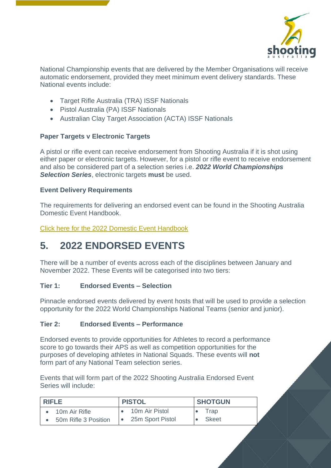

National Championship events that are delivered by the Member Organisations will receive automatic endorsement, provided they meet minimum event delivery standards. These National events include:

- Target Rifle Australia (TRA) ISSF Nationals
- Pistol Australia (PA) ISSF Nationals
- Australian Clay Target Association (ACTA) ISSF Nationals

### **Paper Targets v Electronic Targets**

A pistol or rifle event can receive endorsement from Shooting Australia if it is shot using either paper or electronic targets. However, for a pistol or rifle event to receive endorsement and also be considered part of a selection series i.e. *2022 World Championships Selection Series*, electronic targets **must** be used.

#### **Event Delivery Requirements**

The requirements for delivering an endorsed event can be found in the Shooting Australia Domestic Event Handbook.

[Click here for the 2022 Domestic Event Handbook](https://shootingaustralia.org/domestic-performance-series/2022-2/)

## <span id="page-4-0"></span>**5. 2022 ENDORSED EVENTS**

There will be a number of events across each of the disciplines between January and November 2022. These Events will be categorised into two tiers:

#### **Tier 1: Endorsed Events – Selection**

Pinnacle endorsed events delivered by event hosts that will be used to provide a selection opportunity for the 2022 World Championships National Teams (senior and junior).

#### **Tier 2: Endorsed Events – Performance**

Endorsed events to provide opportunities for Athletes to record a performance score to go towards their APS as well as competition opportunities for the purposes of developing athletes in National Squads. These events will **not** form part of any National Team selection series.

Events that will form part of the 2022 Shooting Australia Endorsed Event Series will include:

| <b>RIFLE</b>         | <b>PISTOL</b>    | <b>SHOTGUN</b> |  |
|----------------------|------------------|----------------|--|
| 10m Air Rifle        | 10m Air Pistol   | Trap           |  |
| 50m Rifle 3 Position | 25m Sport Pistol | Skeet          |  |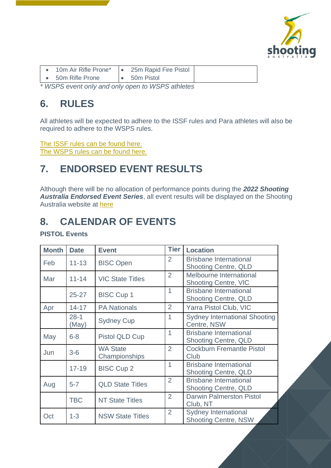

|                                                    | 10m Air Rifle Prone* |  | • 25m Rapid Fire Pistol |  |
|----------------------------------------------------|----------------------|--|-------------------------|--|
|                                                    | • 50m Rifle Prone    |  | $\bullet$ 50m Pistol    |  |
| * INCRO quant only and only gron to INCRO othlotog |                      |  |                         |  |

<span id="page-5-0"></span>*\* WSPS event only and only open to WSPS athletes*

### <span id="page-5-1"></span>**6. RULES**

All athletes will be expected to adhere to the ISSF rules and Para athletes will also be required to adhere to the WSPS rules.

[The ISSF rules can be found](https://www.issf-sports.org/theissf/rules_and_regulations.ashx) here. [The WSPS rules can be found here.](https://www.paralympic.org/shooting/rules)

### <span id="page-5-2"></span>**7. ENDORSED EVENT RESULTS**

Although there will be no allocation of performance points during the *2022 Shooting Australia Endorsed Event Series*, all event results will be displayed on the Shooting Australia website at [here](https://shootingaustralia.org/events/2022-endorsed-event-series-results/)

### <span id="page-5-3"></span>**8. CALENDAR OF EVENTS**

<span id="page-5-4"></span>**PISTOL Events**

| <b>Month</b> | <b>Date</b>       | <b>Event</b>                     | <b>Tier</b>    | <b>Location</b>                                              |
|--------------|-------------------|----------------------------------|----------------|--------------------------------------------------------------|
| Feb          | $11 - 13$         | <b>BISC Open</b>                 | 2              | <b>Brisbane International</b><br><b>Shooting Centre, QLD</b> |
| Mar          | $11 - 14$         | <b>VIC State Titles</b>          | 2              | Melbourne International<br><b>Shooting Centre, VIC</b>       |
|              | $25 - 27$         | <b>BISC Cup 1</b>                | $\overline{1}$ | <b>Brisbane International</b><br><b>Shooting Centre, QLD</b> |
| Apr          | $14 - 17$         | <b>PA Nationals</b>              | $\overline{2}$ | Yarra Pistol Club, VIC                                       |
|              | $28 - 1$<br>(May) | <b>Sydney Cup</b>                | 1              | <b>Sydney International Shooting</b><br>Centre, NSW          |
| May          | $6 - 8$           | Pistol QLD Cup                   | 1              | <b>Brisbane International</b><br><b>Shooting Centre, QLD</b> |
| Jun          | $3-6$             | <b>WA State</b><br>Championships | 2              | <b>Cockburn Fremantle Pistol</b><br>Club                     |
|              | $17 - 19$         | <b>BISC Cup 2</b>                | $\overline{1}$ | <b>Brisbane International</b><br><b>Shooting Centre, QLD</b> |
| Aug          | $5 - 7$           | <b>QLD State Titles</b>          | $\overline{2}$ | <b>Brisbane International</b><br><b>Shooting Centre, QLD</b> |
|              | <b>TBC</b>        | <b>NT State Titles</b>           | $\overline{2}$ | <b>Darwin Palmerston Pistol</b><br>Club, NT                  |
| Oct          | $1 - 3$           | <b>NSW State Titles</b>          | $\overline{2}$ | <b>Sydney International</b><br><b>Shooting Centre, NSW</b>   |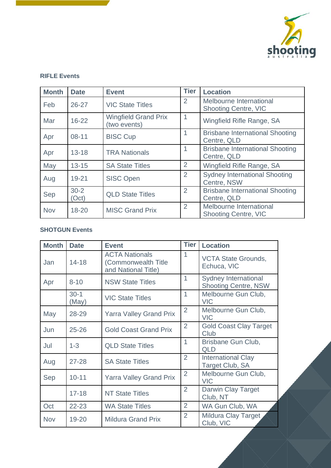

#### <span id="page-6-0"></span>**RIFLE Events**

| <b>Month</b> | <b>Date</b>       | <b>Event</b>                                | <b>Tier</b>    | <b>Location</b>                                        |
|--------------|-------------------|---------------------------------------------|----------------|--------------------------------------------------------|
| Feb          | $26 - 27$         | <b>VIC State Titles</b>                     | 2              | Melbourne International<br><b>Shooting Centre, VIC</b> |
| Mar          | $16 - 22$         | <b>Wingfield Grand Prix</b><br>(two events) |                | Wingfield Rifle Range, SA                              |
| Apr          | $08 - 11$         | <b>BISC Cup</b>                             |                | <b>Brisbane International Shooting</b><br>Centre, QLD  |
| Apr          | $13 - 18$         | <b>TRA Nationals</b>                        |                | <b>Brisbane International Shooting</b><br>Centre, QLD  |
| May          | $13 - 15$         | <b>SA State Titles</b>                      | 2              | Wingfield Rifle Range, SA                              |
| Aug          | $19 - 21$         | <b>SISC Open</b>                            | 2              | <b>Sydney International Shooting</b><br>Centre, NSW    |
| Sep          | $30 - 2$<br>(Oct) | <b>QLD State Titles</b>                     | $\overline{2}$ | <b>Brisbane International Shooting</b><br>Centre, QLD  |
| <b>Nov</b>   | $18 - 20$         | <b>MISC Grand Prix</b>                      | 2              | Melbourne International<br><b>Shooting Centre, VIC</b> |

### <span id="page-6-1"></span>**SHOTGUN Events**

| <b>Month</b> | <b>Date</b>       | <b>Event</b>                                                        | <b>Tier</b>    | <b>Location</b>                                            |
|--------------|-------------------|---------------------------------------------------------------------|----------------|------------------------------------------------------------|
| Jan          | $14 - 18$         | <b>ACTA Nationals</b><br>(Commonwealth Title<br>and National Title) | $\mathbf{1}$   | <b>VCTA State Grounds,</b><br>Echuca, VIC                  |
| Apr          | $8 - 10$          | <b>NSW State Titles</b>                                             | $\mathbf{1}$   | <b>Sydney International</b><br><b>Shooting Centre, NSW</b> |
|              | $30 - 1$<br>(May) | <b>VIC State Titles</b>                                             | $\mathbf{1}$   | Melbourne Gun Club,<br><b>VIC</b>                          |
| May          | 28-29             | <b>Yarra Valley Grand Prix</b>                                      | $\overline{2}$ | Melbourne Gun Club,<br><b>VIC</b>                          |
| Jun          | $25 - 26$         | <b>Gold Coast Grand Prix</b>                                        | 2              | <b>Gold Coast Clay Target</b><br>Club                      |
| Jul          | $1 - 3$           | <b>QLD State Titles</b>                                             | $\overline{1}$ | Brisbane Gun Club,<br><b>QLD</b>                           |
| Aug          | $27 - 28$         | <b>SA State Titles</b>                                              | $\overline{2}$ | <b>International Clay</b><br>Target Club, SA               |
| Sep          | $10 - 11$         | <b>Yarra Valley Grand Prix</b>                                      | $\overline{2}$ | Melbourne Gun Club,<br><b>VIC</b>                          |
|              | $17 - 18$         | <b>NT State Titles</b>                                              | $\overline{2}$ | <b>Darwin Clay Target</b><br>Club, NT                      |
| Oct          | $22 - 23$         | <b>WA State Titles</b>                                              | $\overline{2}$ | WA Gun Club, WA                                            |
| Nov          | 19-20             | <b>Mildura Grand Prix</b>                                           | $\overline{2}$ | Mildura Clay Target<br>Club, VIC                           |